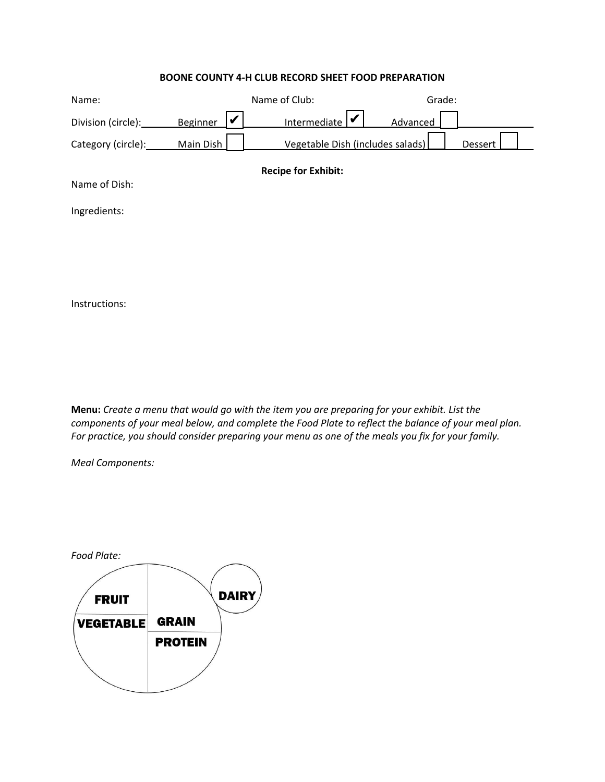### **BOONE COUNTY 4-H CLUB RECORD SHEET FOOD PREPARATION**

| Name:                      |                      | Name of Club:                    | Grade:   |         |
|----------------------------|----------------------|----------------------------------|----------|---------|
| Division (circle):         | V<br><b>Beginner</b> | Intermediate $\triangleright$    | Advanced |         |
| Category (circle):         | Main Dish            | Vegetable Dish (includes salads) |          | Dessert |
| <b>Recipe for Exhibit:</b> |                      |                                  |          |         |
| Name of Dish:              |                      |                                  |          |         |
| Ingredients:               |                      |                                  |          |         |
|                            |                      |                                  |          |         |
|                            |                      |                                  |          |         |
|                            |                      |                                  |          |         |

Instructions:

**Menu:** *Create a menu that would go with the item you are preparing for your exhibit. List the components of your meal below, and complete the Food Plate to reflect the balance of your meal plan. For practice, you should consider preparing your menu as one of the meals you fix for your family.*

*Meal Components:*

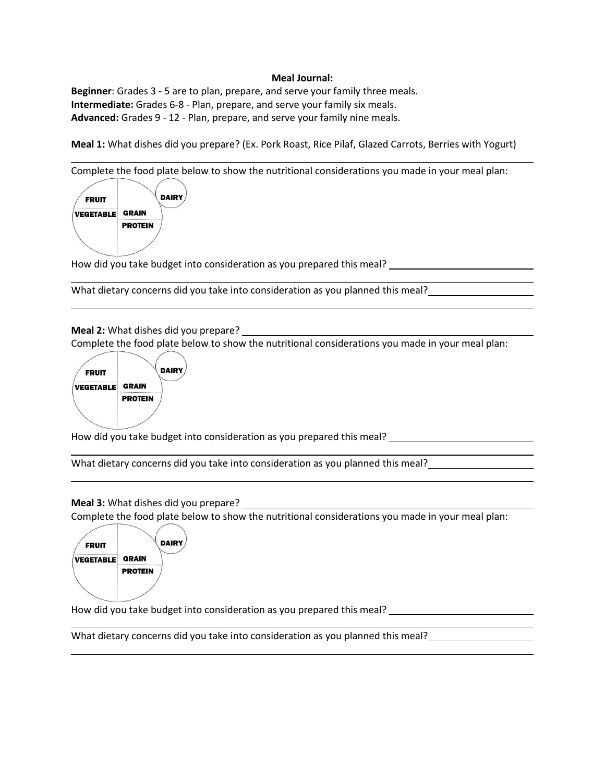#### **Meal Journal:**

**Beginner**: Grades 3 - 5 are to plan, prepare, and serve your family three meals. **Intermediate:** Grades 6-8 - Plan, prepare, and serve your family six meals. **Advanced:** Grades 9 - 12 - Plan, prepare, and serve your family nine meals.

**Meal 1:** What dishes did you prepare? (Ex. Pork Roast, Rice Pilaf, Glazed Carrots, Berries with Yogurt)

Complete the food plate below to show the nutritional considerations you made in your meal plan:



How did you take budget into consideration as you prepared this meal? \_\_\_\_\_\_\_\_\_\_\_

What dietary concerns did you take into consideration as you planned this meal?

**Meal 2:** What dishes did you prepare?

Complete the food plate below to show the nutritional considerations you made in your meal plan:



How did you take budget into consideration as you prepared this meal?

What dietary concerns did you take into consideration as you planned this meal?

**Meal 3:** What dishes did you prepare?

Complete the food plate below to show the nutritional considerations you made in your meal plan:



How did you take budget into consideration as you prepared this meal?

What dietary concerns did you take into consideration as you planned this meal?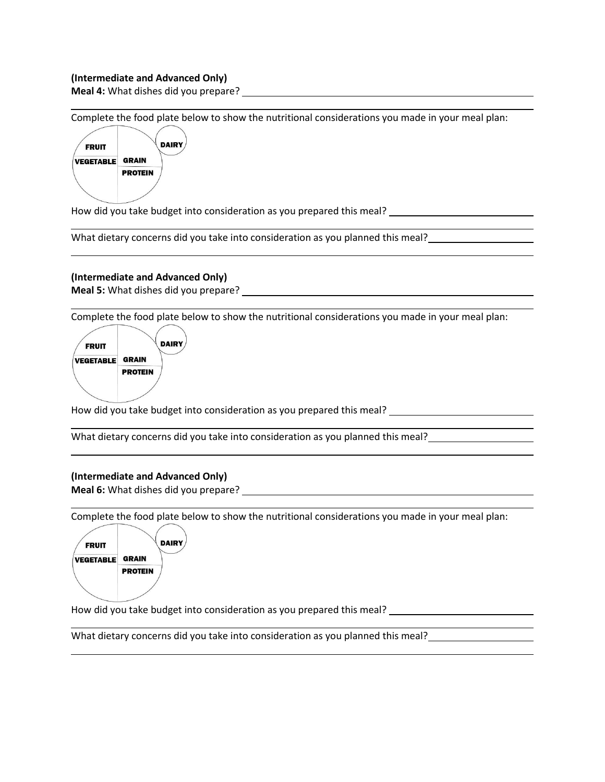### **(Intermediate and Advanced Only)**

**Meal 4:** What dishes did you prepare?

Complete the food plate below to show the nutritional considerations you made in your meal plan:



How did you take budget into consideration as you prepared this meal?

What dietary concerns did you take into consideration as you planned this meal?

## **(Intermediate and Advanced Only)**

**Meal 5:** What dishes did you prepare?

Complete the food plate below to show the nutritional considerations you made in your meal plan:



How did you take budget into consideration as you prepared this meal?

What dietary concerns did you take into consideration as you planned this meal?

#### **(Intermediate and Advanced Only)**

**Meal 6:** What dishes did you prepare?

Complete the food plate below to show the nutritional considerations you made in your meal plan:



How did you take budget into consideration as you prepared this meal?

What dietary concerns did you take into consideration as you planned this meal?